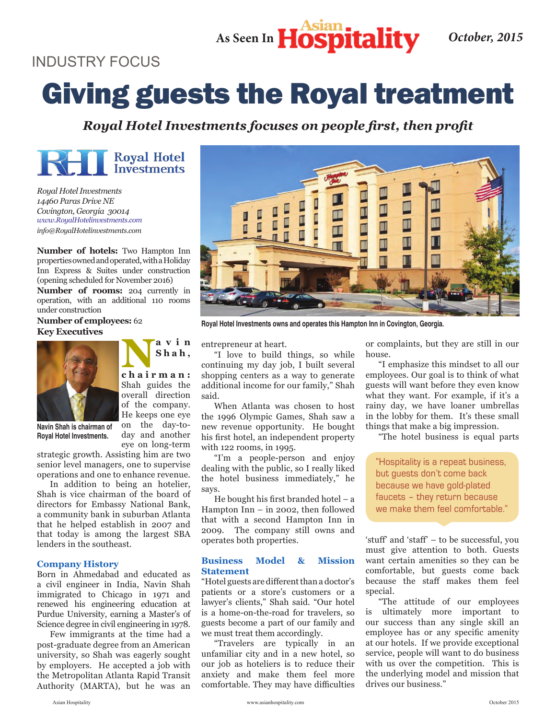As Seen In **Hospitality** October, 2015

### INDUSTRY FOCUS INDUSTRY FOCUS

# Giving guests the Royal treatment Giving guests the Royal treatment

*Royal Hotel Investments focuses on people first, then profit*



*Royal Hotel Investments 14460 Paras Drive NE Royal Hotel Investments Covington, Georgia 30014 14460 Paras Drive NE www.RoyalHotelinvestments.com Covington, Georgia 30014 info@RoyalHotelinvestments.com www.RoyalHotelinvestments.com*

**Number of hotels:** Two Hampton Inn properties owned and operated, with a Holiday Inn Express & Suites under construction (opening scheduled for November 2016)

**Number of rooms:** 204 currently in operation, with an additional 110 rooms under construction

**S h a h ,** 

on the day-today and another

**Number of employees: 62 Key Executives** 



**Navin Shah is chairman of Royal Hotel Investments.** 

eye on long-term strategic growth. Assisting him are two senior level managers, one to supervise operations and one to enhance revenue. **Royal Hotel Investments.**

In addition to being an hotelier, Shah is vice chairman of the board of directors for Embassy National Bank, a community bank in suburban Atlanta that he helped establish in 2007 and that today is among the largest SBA lenders in the southeast.

#### **Company History**

Born in Ahmedabad and educated as a civil engineer in India, Navin Shah immigrated to Chicago in 1971 and renewed his engineering education at Purdue University, earning a Master's of Science degree in civil engineering in 1978.

Few immigrants at the time had a post-graduate degree from an American university, so Shah was eagerly sought by employers. He accepted a job with the Metropolitan Atlanta Rapid Transit Authority (MARTA), but he was an



**Royal Hotel Investments owns and operates this Hampton Inn in Covington, Georgia.** 

entrepreneur at heart.

"I love to build things, so while continuing my day job, I built several shopping centers as a way to generate additional income for our family," Shah said.  $said.$ 

When Atlanta was chosen to host the 1996 Olympic Games, Shah saw a new revenue opportunity. He bought his first hotel, an independent property with 122 rooms, in 1995. said.

"I'm a people-person and enjoy dealing with the public, so I really liked the hotel business immediately," he says. the says.

He bought his first branded hotel – a  $H$ ampton Inn – in 2002, then followed that with a second Hampton Inn in 2009. The company still owns and operates both properties. says.

### **Business Model & Mission Business Model & Mission Contract & Mission Contract & Mission Contract & Mission Contract & Mission Contract & Mission Contract & Mission Contract & Mission Contract & Mission Contract & Mission Contract & Mission Contra**

"Hotel guests are different than a doctor's **Statement** patients or a store's customers or a lawyer's clients," Shah said. "Our hotel is a home-on-the-road for travelers, so guests become a part of our family and we must treat them accordingly.

"Travelers are typically in an unfamiliar city and in a new hotel, so our job as hoteliers is to reduce their anxiety and make them feel more comfortable. They may have difficulties

or complaints, but they are still in our house.

"I emphasize this mindset to all our employees. Our goal is to think of what guests will want before they even know what they want. For example, if it's a rainy day, we have loaner umbrellas in the lobby for them. It's these small things that make a big impression.

"The hotel business is equal parts things that make a big impression.

"Hospitality is a repeat business, but guests don't come back **hospit** because we have gold-plated faucets – they return because we make them feel comfortable."

'stuff' and 'staff' – to be successful, you must give attention to both. Guests want certain amenities so they can be comfortable, but guests come back because the staff makes them feel special.

"The attitude of our employees special. is ultimately more important to our success than any single skill an employee has or any specific amenity at our hotels. If we provide exceptional service, people will want to do business with us over the competition. This is the underlying model and mission that drives our business."

16 Asian Hospitality www.asianhospitality.com October 2015 www.asianhospitality.com